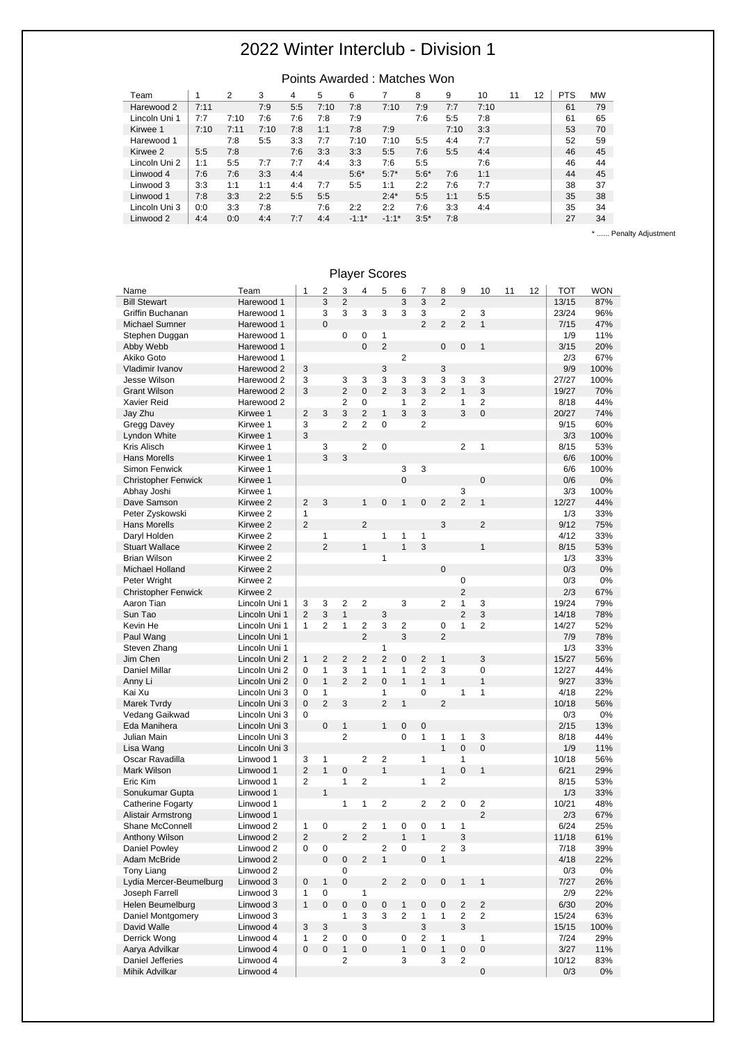#### Points Awarded : Matches Won Team 1 2 3 4 5 6 7 8 9 10 11 12 PTS MW Harewood 2 7:11 7:9 5:5 7:10 7:8 7:10 7:9 7:7 7:10 61 79<br>
Lincoln Uni 1 7:7 7:10 7:6 7:6 7:8 7:9 7:6 5:5 7:8 61 65 Lincoln Uni 1 7:7 7:10 7:6 7:6 7:8 7:9 7:6 5:5 7:8 61 65<br>
Kirwee 1 7:10 7:11 7:10 7:8 1:1 7:8 7:9 7:10 3:3 53 70 Kirwee 1 | 7:10 7:11 7:10 7:8 1:1 7:8 7:9 7:10 3:3 | 53 70 Harewood 1 7:8 5:5 3:3 7:7 7:10 7:10 5:5 4:4 7:7 52 59<br>
Kirwee 2 5:5 7:8 7:6 3:3 3:3 5:5 7:6 5:5 4:4 1 46 45 Kirwee 2 5:5 7:8 7:6 3:3 3:3 5:5 7:6 5:5 4:4 46 45 Lincoln Uni 2 1:1 5:5 7:7 7:7 4:4 3:3 7:6 5:5 7:6 1:1 46 44<br>
Linwood 4 7:6 7:6 3:3 4:4 5:6\* 5:7\* 5:6\* 7:6 1:1 44 45 Linwood 4 7:6 7:6 3:3 4:4 5:6\* 5:7\* 5:6\* 7:6 1:1 44 45 Linwood 3 3:3 1:1 1:1 4:4 7:7 5:5 1:1 2:2 7:6 7:7 38 37 Linwood 1 7:8 3:3 2:2 5:5 5:5 2:4\* 5:5 1:1 5:5 35 38 Lincoln Uni 3 0:0 3:3 7:8 7:6 2:2 2:2 7:6 3:3 4:4 35 34<br>
Linwood 2 4:4 0:0 4:4 7:7 4:4 -1:1\* -1:1\* 3:5\* 7:8 27 34 Linwood 2 4:4 0:0 4:4 7:7 4:4 -1:1\* -1:1\* 3:5\* 7:8 27 34

\* ...... Penalty Adjustment

|                            |                      |                |                | <b>Flayer Scores</b> |                                |                         |                |                |                   |                |                     |    |    |       |            |
|----------------------------|----------------------|----------------|----------------|----------------------|--------------------------------|-------------------------|----------------|----------------|-------------------|----------------|---------------------|----|----|-------|------------|
| Name                       | Team                 | 1              | 2              | 3                    | 4                              | 5                       | 6              | 7              | 8                 | 9              | 10                  | 11 | 12 | тот   | <b>WON</b> |
| <b>Bill Stewart</b>        | Harewood 1           |                | 3              | $\overline{2}$       |                                |                         | 3              | 3              | $\overline{2}$    |                |                     |    |    | 13/15 | 87%        |
| Griffin Buchanan           | Harewood 1           |                | 3              | 3                    | 3                              | 3                       | 3              | 3              |                   | 2              | 3                   |    |    | 23/24 | 96%        |
| Michael Sumner             | Harewood 1           |                | $\Omega$       |                      |                                |                         |                | $\overline{2}$ | $\overline{2}$    | $\overline{2}$ | $\mathbf{1}$        |    |    | 7/15  | 47%        |
| Stephen Duggan             | Harewood 1           |                |                | 0                    | 0                              | 1                       |                |                |                   |                |                     |    |    | 1/9   | 11%        |
| Abby Webb                  | Harewood 1           |                |                |                      | $\overline{0}$                 | $\overline{2}$          |                |                | $\mathbf 0$       | 0              | $\mathbf{1}$        |    |    | 3/15  | 20%        |
| Akiko Goto                 | Harewood 1           |                |                |                      |                                |                         | 2              |                |                   |                |                     |    |    | 2/3   | 67%        |
| Vladimir Ivanov            | Harewood 2           | 3              |                |                      |                                | 3                       |                |                | 3                 |                |                     |    |    | 9/9   | 100%       |
| Jesse Wilson               | Harewood 2           | 3              |                | 3                    | 3                              | 3                       | 3              | 3              | 3                 | 3              | 3                   |    |    | 27/27 | 100%       |
| <b>Grant Wilson</b>        | Harewood 2           | 3              |                | $\overline{2}$       | $\overline{0}$                 | $\overline{2}$          | 3              | 3              | $\overline{2}$    | $\mathbf{1}$   | 3                   |    |    | 19/27 | 70%        |
| Xavier Reid                | Harewood 2           |                |                | 2                    | $\mathbf 0$                    |                         | 1              | 2              |                   | 1              | 2                   |    |    | 8/18  | 44%        |
| Jay Zhu                    | Kirwee 1             | $\overline{2}$ | 3              | 3                    | $\overline{2}$                 | $\mathbf{1}$            | 3              | 3              |                   | 3              | $\mathbf 0$         |    |    | 20/27 | 74%        |
| Gregg Davey                | Kirwee 1             | 3              |                | $\overline{2}$       | $\overline{2}$                 | $\mathbf 0$             |                | 2              |                   |                |                     |    |    | 9/15  | 60%        |
| Lyndon White               | Kirwee 1             | 3              |                |                      |                                |                         |                |                |                   |                |                     |    |    | 3/3   | 100%       |
| Kris Alisch                | Kirwee 1             |                | 3              |                      | $\overline{2}$                 | $\mathbf 0$             |                |                |                   | 2              | $\mathbf{1}$        |    |    | 8/15  | 53%        |
| <b>Hans Morells</b>        | Kirwee 1             |                | 3              | 3                    |                                |                         |                |                |                   |                |                     |    |    | 6/6   | 100%       |
| Simon Fenwick              | Kirwee 1             |                |                |                      |                                |                         | 3              | 3              |                   |                |                     |    |    | 6/6   | 100%       |
| <b>Christopher Fenwick</b> | Kirwee 1             |                |                |                      |                                |                         | $\overline{0}$ |                |                   |                | $\mathbf 0$         |    |    | 0/6   | 0%         |
| Abhay Joshi                | Kirwee 1             |                |                |                      |                                |                         |                |                |                   | 3              |                     |    |    | 3/3   | 100%       |
| Dave Samson                | Kirwee 2             | $\overline{2}$ | 3              |                      | $\mathbf{1}$                   | $\pmb{0}$               | $\mathbf{1}$   | 0              | $\overline{2}$    | $\overline{2}$ | $\mathbf{1}$        |    |    | 12/27 | 44%        |
| Peter Zyskowski            | Kirwee 2             | $\mathbf{1}$   |                |                      |                                |                         |                |                |                   |                |                     |    |    | 1/3   | 33%        |
| <b>Hans Morells</b>        | Kirwee 2             | $\overline{2}$ |                |                      | $\overline{2}$                 |                         |                |                | 3                 |                | $\overline{2}$      |    |    | 9/12  | 75%        |
| Daryl Holden               | Kirwee 2             |                | 1              |                      |                                | 1                       | 1              | 1              |                   |                |                     |    |    | 4/12  | 33%        |
| <b>Stuart Wallace</b>      | Kirwee 2             |                | $\overline{2}$ |                      | $\mathbf{1}$                   |                         | $\mathbf{1}$   | 3              |                   |                | $\mathbf{1}$        |    |    | 8/15  | 53%        |
| <b>Brian Wilson</b>        | Kirwee 2             |                |                |                      |                                | $\mathbf{1}$            |                |                |                   |                |                     |    |    | 1/3   | 33%        |
| Michael Holland            | Kirwee 2             |                |                |                      |                                |                         |                |                | $\mathbf 0$       |                |                     |    |    | 0/3   | 0%         |
| Peter Wright               | Kirwee 2             |                |                |                      |                                |                         |                |                |                   | 0              |                     |    |    | 0/3   | 0%         |
| <b>Christopher Fenwick</b> | Kirwee 2             |                |                |                      |                                |                         |                |                |                   | $\overline{2}$ |                     |    |    | 2/3   | 67%        |
| Aaron Tian                 | Lincoln Uni 1        | 3              | 3              | 2                    | $\overline{2}$                 |                         | 3              |                | 2                 | 1              | 3                   |    |    | 19/24 | 79%        |
| Sun Tao                    | Lincoln Uni 1        | $\overline{2}$ | 3              | $\mathbf{1}$         |                                | 3                       |                |                |                   | $\overline{2}$ | 3                   |    |    | 14/18 | 78%        |
| Kevin He                   | Lincoln Uni 1        | 1              | 2              | $\mathbf{1}$         | 2                              | 3                       | 2              |                | 0                 | 1              | 2                   |    |    | 14/27 |            |
|                            |                      |                |                |                      | $\overline{2}$                 |                         | 3              |                | $\overline{2}$    |                |                     |    |    |       | 52%        |
| Paul Wang                  | Lincoln Uni 1        |                |                |                      |                                |                         |                |                |                   |                |                     |    |    | 7/9   | 78%        |
| Steven Zhang               | Lincoln Uni 1        |                |                |                      |                                | 1<br>$\overline{2}$     |                |                |                   |                |                     |    |    | 1/3   | 33%        |
| Jim Chen                   | Lincoln Uni 2        | $\mathbf{1}$   | 2              | 2                    | 2                              |                         | 0              | 2              | $\mathbf{1}$      |                | 3                   |    |    | 15/27 | 56%        |
| <b>Daniel Millar</b>       | Lincoln Uni 2        | 0              | $\mathbf{1}$   | 3<br>$\overline{2}$  | $\mathbf{1}$<br>$\overline{2}$ | 1                       | 1              | 2              | 3<br>$\mathbf{1}$ |                | 0                   |    |    | 12/27 | 44%        |
| Anny Li                    | Lincoln Uni 2        | $\mathbf{0}$   | $\mathbf{1}$   |                      |                                | $\mathbf 0$             | $\mathbf{1}$   | $\mathbf{1}$   |                   |                | $\mathbf{1}$        |    |    | 9/27  | 33%        |
| Kai Xu                     | Lincoln Uni 3        | 0              | $\mathbf{1}$   |                      |                                | $\mathbf{1}$            |                | 0              |                   | $\mathbf{1}$   | $\mathbf{1}$        |    |    | 4/18  | 22%        |
| Marek Tvrdy                | Lincoln Uni 3        | $\overline{0}$ | $\overline{2}$ | 3                    |                                | $\overline{2}$          | $\mathbf{1}$   |                | $\overline{2}$    |                |                     |    |    | 10/18 | 56%        |
| Vedang Gaikwad             | Lincoln Uni 3        | 0              |                |                      |                                |                         |                |                |                   |                |                     |    |    | 0/3   | 0%         |
| Eda Manihera               | Lincoln Uni 3        |                | $\mathbf 0$    | $\mathbf{1}$         |                                | $\mathbf{1}$            | $\mathbf 0$    | $\mathbf 0$    |                   |                |                     |    |    | 2/15  | 13%        |
| Julian Main                | Lincoln Uni 3        |                |                | $\overline{c}$       |                                |                         | 0              | $\mathbf{1}$   | 1                 | 1              | 3                   |    |    | 8/18  | 44%        |
| Lisa Wang                  | Lincoln Uni 3        |                |                |                      |                                |                         |                |                | $\mathbf{1}$      | $\overline{0}$ | $\overline{0}$      |    |    | 1/9   | 11%        |
| Oscar Ravadilla            | Linwood 1            | 3              | 1              |                      | $\overline{2}$                 | $\overline{\mathbf{c}}$ |                | $\mathbf{1}$   |                   | 1              |                     |    |    | 10/18 | 56%        |
| Mark Wilson                | Linwood 1            | $\overline{2}$ | $\mathbf{1}$   | 0                    |                                | $\mathbf{1}$            |                |                | $\mathbf{1}$      | $\overline{0}$ | $\mathbf{1}$        |    |    | 6/21  | 29%        |
| Eric Kim                   | Linwood 1            | 2              |                | $\mathbf{1}$         | 2                              |                         |                | 1              | $\overline{c}$    |                |                     |    |    | 8/15  | 53%        |
| Sonukumar Gupta            | Linwood 1            |                | $\mathbf{1}$   |                      |                                |                         |                |                |                   |                |                     |    |    | 1/3   | 33%        |
| Catherine Fogarty          | Linwood 1            |                |                | 1                    | 1                              | 2                       |                | 2              | $\overline{2}$    | 0              | 2                   |    |    | 10/21 | 48%        |
| Alistair Armstrong         | Linwood 1            |                |                |                      |                                |                         |                |                |                   |                | $\overline{2}$      |    |    | 2/3   | 67%        |
| Shane McConnell            | Linwood 2            | 1              | 0              |                      | 2                              | 1                       | 0              | 0              | 1                 | 1              |                     |    |    | 6/24  | 25%        |
| Anthony Wilson             | Linwood 2            | $\overline{2}$ |                | $\overline{2}$       | $\overline{2}$                 |                         | $\mathbf{1}$   | $\mathbf{1}$   |                   | $\mathsf 3$    |                     |    |    | 11/18 | 61%        |
| Daniel Powley              | Linwood 2            | 0              | 0              |                      |                                | $\overline{\mathbf{c}}$ | 0              |                | 2                 | 3              |                     |    |    | 7/18  | 39%        |
| Adam McBride               | Linwood <sub>2</sub> |                | $\mathbf 0$    | $\pmb{0}$            | $\overline{2}$                 | $\mathbf{1}$            |                | $\pmb{0}$      | $\mathbf{1}$      |                |                     |    |    | 4/18  | 22%        |
| <b>Tony Liang</b>          | Linwood 2            |                |                | 0                    |                                |                         |                |                |                   |                |                     |    |    | 0/3   | 0%         |
| Lydia Mercer-Beumelburg    | Linwood 3            | 0              | $\mathbf{1}$   | $\mathbf 0$          |                                | $\overline{2}$          | $\overline{c}$ | $\pmb{0}$      | $\mathbf 0$       | $\mathbf{1}$   | $\mathbf{1}$        |    |    | 7/27  | 26%        |
| Joseph Farrell             | Linwood 3            | 1              | 0              |                      | 1                              |                         |                |                |                   |                |                     |    |    | 2/9   | 22%        |
| Helen Beumelburg           | Linwood 3            | $\mathbf{1}$   | $\mathbf 0$    | $\pmb{0}$            | $\pmb{0}$                      | 0                       | $\mathbf{1}$   | 0              | $\pmb{0}$         | $\overline{2}$ | $\overline{c}$      |    |    | 6/30  | 20%        |
| Daniel Montgomery          | Linwood 3            |                |                | $\mathbf{1}$         | 3                              | 3                       | 2              | 1              | 1                 | 2              | $\overline{c}$      |    |    | 15/24 | 63%        |
| David Walle                | Linwood 4            | 3              | 3              |                      | 3                              |                         |                | 3              |                   | 3              |                     |    |    | 15/15 | 100%       |
| Derrick Wong               | Linwood 4            | 1              | 2              | 0                    | 0                              |                         | 0              | $\overline{2}$ | 1                 |                | $\mathbf{1}$        |    |    | 7/24  | 29%        |
| Aarya Advilkar             | Linwood 4            | 0              | $\mathbf 0$    | $\mathbf{1}$         | $\mathbf 0$                    |                         | $\mathbf{1}$   | 0              | $\mathbf{1}$      | $\mathbf 0$    | $\pmb{0}$           |    |    | 3/27  | 11%        |
| Daniel Jefferies           | Linwood 4            |                |                | $\overline{2}$       |                                |                         | 3              |                | 3                 | $\overline{2}$ |                     |    |    | 10/12 | 83%        |
| Mihik Advilkar             | Linwood 4            |                |                |                      |                                |                         |                |                |                   |                | $\mathsf{O}\xspace$ |    |    | 0/3   | 0%         |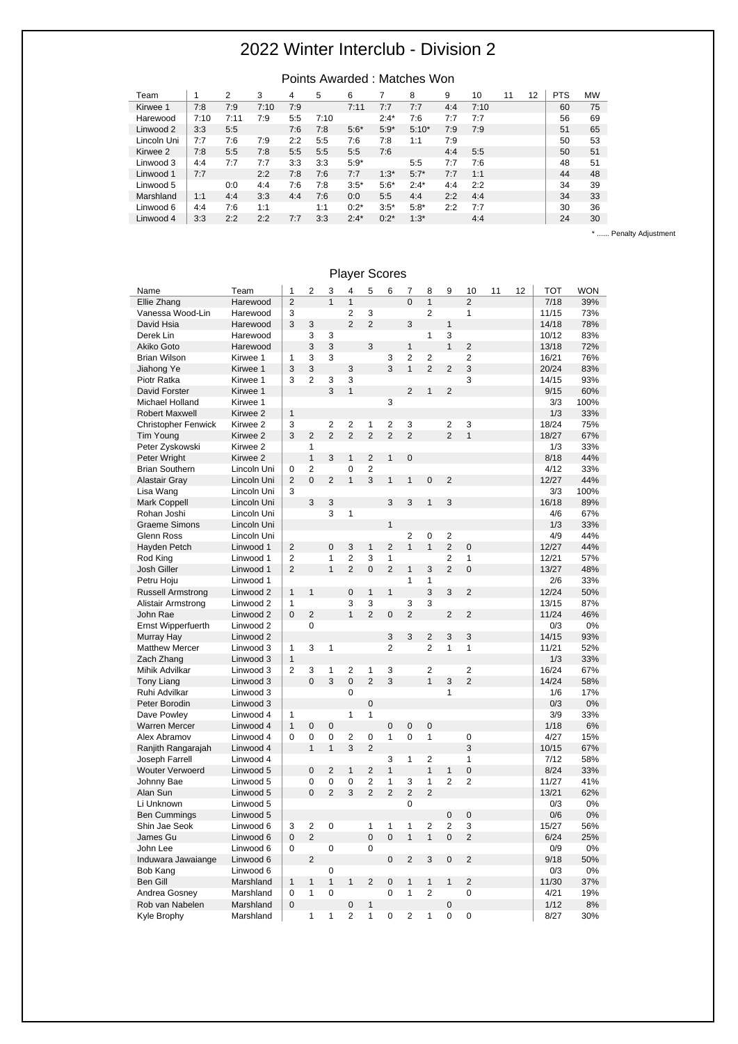|  |  |  | Points Awarded : Matches Won |  |  |  |
|--|--|--|------------------------------|--|--|--|
|  |  |  |                              |  |  |  |

| l eam       |      |          | 3    | 4   | 5    | 6      |         | 8       | 9   | 10   | 11 | 12. | PIS | <b>MVV</b> |
|-------------|------|----------|------|-----|------|--------|---------|---------|-----|------|----|-----|-----|------------|
| Kirwee 1    | 7:8  | 7:9      | 7:10 | 7:9 |      | 7:11   | 7:7     | 7:7     | 4:4 | 7:10 |    |     | 60  | 75         |
| Harewood    | 7:10 | 7:1<br>1 | 7:9  | 5:5 | 7:10 |        | $2:4*$  | 7:6     | 7:7 | 7:7  |    |     | 56  | 69         |
| Linwood 2   | 3:3  | 5:5      |      | 7:6 | 7:8  | $5:6*$ | $5:9*$  | $5:10*$ | 7:9 | 7:9  |    |     | 51  | 65         |
| Lincoln Uni | 7:7  | 7:6      | 7:9  | 2:2 | 5:5  | 7:6    | 7:8     | 1:1     | 7:9 |      |    |     | 50  | 53         |
| Kirwee 2    | 7:8  | 5:5      | 7:8  | 5:5 | 5:5  | 5:5    | 7:6     |         | 4:4 | 5:5  |    |     | 50  | 51         |
| Linwood 3   | 4:4  | 7:7      | 7:7  | 3:3 | 3:3  | $5:9*$ |         | 5:5     | 7:7 | 7:6  |    |     | 48  | 51         |
| Linwood 1   | 7:7  |          | 2:2  | 7:8 | 7:6  | 7:7    | $1:3*$  | $5:7*$  | 7:7 | 1:1  |    |     | 44  | 48         |
| Linwood 5   |      | 0:0      | 4:4  | 7:6 | 7:8  | $3:5*$ | $5:6*$  | $2:4*$  | 4:4 | 2:2  |    |     | 34  | 39         |
| Marshland   | 1:1  | 4:4      | 3:3  | 4:4 | 7:6  | 0:0    | 5:5     | 4:4     | 2:2 | 4:4  |    |     | 34  | 33         |
| Linwood 6   | 4:4  | 7:6      | 1:1  |     | 1:1  | $0:2*$ | $3:5*$  | $5:8*$  | 2:2 | 7:7  |    |     | 30  | 36         |
| Linwood 4   | 3:3  | 2:2      | 2:2  | 7:7 | 3:3  | $2:4*$ | $0:2^*$ | $1:3*$  |     | 4:4  |    |     | 24  | 30         |

\* ...... Penalty Adjustment

| Name                       | Team        | 1              | $\overline{\mathbf{c}}$ | 3              | 4              | 5              | 6              | 7              | 8              | 9              | 10             | 11 | 12 | <b>TOT</b> | <b>WON</b> |
|----------------------------|-------------|----------------|-------------------------|----------------|----------------|----------------|----------------|----------------|----------------|----------------|----------------|----|----|------------|------------|
| Ellie Zhang                | Harewood    | $\overline{2}$ |                         | $\mathbf{1}$   | $\mathbf{1}$   |                |                | $\Omega$       | $\mathbf{1}$   |                | $\overline{2}$ |    |    | 7/18       | 39%        |
| Vanessa Wood-Lin           | Harewood    | 3              |                         |                | $\overline{2}$ | 3              |                |                | $\overline{c}$ |                | 1              |    |    | 11/15      | 73%        |
| David Hsia                 | Harewood    | 3              | 3                       |                | $\overline{2}$ | $\overline{2}$ |                | 3              |                | $\mathbf{1}$   |                |    |    | 14/18      | 78%        |
| Derek Lin                  | Harewood    |                | 3                       | 3              |                |                |                |                | 1              | 3              |                |    |    | 10/12      | 83%        |
| Akiko Goto                 | Harewood    |                | 3                       | 3              |                | 3              |                | $\mathbf{1}$   |                | $\mathbf{1}$   | $\overline{2}$ |    |    | 13/18      | 72%        |
| <b>Brian Wilson</b>        | Kirwee 1    | 1              | 3                       | 3              |                |                | 3              | $\overline{2}$ | 2              |                | $\overline{2}$ |    |    | 16/21      | 76%        |
| Jiahong Ye                 | Kirwee 1    | 3              | 3                       |                | 3              |                | 3              | $\overline{1}$ | $\overline{2}$ | $\overline{2}$ | 3              |    |    | 20/24      | 83%        |
| Piotr Ratka                | Kirwee 1    | 3              | $\overline{2}$          | 3              | 3              |                |                |                |                |                | 3              |    |    | 14/15      | 93%        |
| David Forster              | Kirwee 1    |                |                         | 3              | $\mathbf{1}$   |                |                | $\overline{2}$ | $\mathbf{1}$   | $\overline{2}$ |                |    |    | 9/15       | 60%        |
| Michael Holland            | Kirwee 1    |                |                         |                |                |                | 3              |                |                |                |                |    |    | 3/3        | 100%       |
| <b>Robert Maxwell</b>      | Kirwee 2    | $\mathbf{1}$   |                         |                |                |                |                |                |                |                |                |    |    | 1/3        | 33%        |
| <b>Christopher Fenwick</b> | Kirwee 2    | 3              |                         | $\overline{2}$ | $\overline{2}$ | $\mathbf{1}$   | $\overline{c}$ | 3              |                | $\overline{2}$ | 3              |    |    | 18/24      | 75%        |
| <b>Tim Young</b>           | Kirwee 2    | 3              | $\overline{2}$          | $\overline{2}$ | $\overline{2}$ | $\overline{2}$ | $\overline{2}$ | $\overline{2}$ |                | $\overline{2}$ | $\overline{1}$ |    |    | 18/27      | 67%        |
| Peter Zyskowski            | Kirwee 2    |                | $\mathbf{1}$            |                |                |                |                |                |                |                |                |    |    | 1/3        | 33%        |
| Peter Wright               | Kirwee 2    |                | $\mathbf{1}$            | 3              | $\mathbf{1}$   | $\overline{2}$ | $\mathbf{1}$   | $\overline{0}$ |                |                |                |    |    | 8/18       | 44%        |
| <b>Brian Southern</b>      | Lincoln Uni | 0              | $\overline{2}$          |                | $\overline{0}$ | $\overline{2}$ |                |                |                |                |                |    |    | 4/12       | 33%        |
| <b>Alastair Gray</b>       | Lincoln Uni | $\overline{2}$ | $\overline{0}$          | 2              | $\overline{1}$ | 3              | $\mathbf{1}$   | $\mathbf{1}$   | $\overline{0}$ | $\overline{2}$ |                |    |    | 12/27      | 44%        |
| Lisa Wang                  | Lincoln Uni | 3              |                         |                |                |                |                |                |                |                |                |    |    | 3/3        | 100%       |
| <b>Mark Coppell</b>        | Lincoln Uni |                | 3                       | 3              |                |                | 3              | 3              | $\mathbf{1}$   | 3              |                |    |    | 16/18      | 89%        |
| Rohan Joshi                | Lincoln Uni |                |                         | 3              | 1              |                |                |                |                |                |                |    |    | 4/6        | 67%        |
| <b>Graeme Simons</b>       | Lincoln Uni |                |                         |                |                |                | $\mathbf{1}$   |                |                |                |                |    |    | 1/3        | 33%        |
| <b>Glenn Ross</b>          | Lincoln Uni |                |                         |                |                |                |                | $\overline{2}$ | 0              | $\overline{2}$ |                |    |    | 4/9        | 44%        |
| Hayden Petch               | Linwood 1   | $\overline{2}$ |                         | $\overline{0}$ | 3              | $\mathbf{1}$   | $\overline{2}$ | $\mathbf{1}$   | $\mathbf{1}$   | $\overline{2}$ | $\overline{0}$ |    |    | 12/27      | 44%        |
| Rod King                   | Linwood 1   | $\overline{c}$ |                         | 1              | 2              | 3              | $\mathbf{1}$   |                |                | $\mathbf 2$    | 1              |    |    | 12/21      | 57%        |
| Josh Giller                | Linwood 1   | $\overline{2}$ |                         | $\overline{1}$ | $\overline{2}$ | $\overline{0}$ | $\overline{2}$ | $\mathbf{1}$   | 3              | $\overline{2}$ | $\overline{0}$ |    |    | 13/27      | 48%        |
| Petru Hoju                 | Linwood 1   |                |                         |                |                |                |                | $\overline{1}$ | 1              |                |                |    |    | 2/6        | 33%        |
| <b>Russell Armstrong</b>   | Linwood 2   | 1              | $\mathbf{1}$            |                | $\mathbf 0$    | $\mathbf{1}$   | $\mathbf{1}$   |                | 3              | 3              | $\overline{2}$ |    |    | 12/24      | 50%        |
| Alistair Armstrong         | Linwood 2   | 1              |                         |                | 3              | 3              |                | 3              | 3              |                |                |    |    | 13/15      | 87%        |
| John Rae                   | Linwood 2   | $\overline{0}$ | $\overline{2}$          |                | $\mathbf{1}$   | $\overline{2}$ | $\mathbf 0$    | $\overline{2}$ |                | $\overline{2}$ | $\overline{2}$ |    |    | 11/24      | 46%        |
| Ernst Wipperfuerth         | Linwood 2   |                | 0                       |                |                |                |                |                |                |                |                |    |    | 0/3        | 0%         |
| Murray Hay                 | Linwood 2   |                |                         |                |                |                | 3              | 3              | $\overline{2}$ | 3              | 3              |    |    | 14/15      | 93%        |
| <b>Matthew Mercer</b>      | Linwood 3   | 1              | 3                       | 1              |                |                | $\overline{c}$ |                | $\overline{2}$ | $\mathbf{1}$   | 1              |    |    | 11/21      | 52%        |
| Zach Zhang                 | Linwood 3   | $\mathbf{1}$   |                         |                |                |                |                |                |                |                |                |    |    | 1/3        | 33%        |
| Mihik Advilkar             | Linwood 3   | $\overline{2}$ | 3                       | 1              | $\overline{2}$ | $\mathbf{1}$   | 3              |                | 2              |                | $\overline{2}$ |    |    | 16/24      | 67%        |
| <b>Tony Liang</b>          | Linwood 3   |                | $\overline{0}$          | 3              | $\overline{0}$ | $\overline{2}$ | 3              |                | $\mathbf{1}$   | 3              | $\overline{2}$ |    |    | 14/24      | 58%        |
| Ruhi Advilkar              | Linwood 3   |                |                         |                | 0              |                |                |                |                | 1              |                |    |    | 1/6        | 17%        |
| Peter Borodin              | Linwood 3   |                |                         |                |                | $\mathbf 0$    |                |                |                |                |                |    |    | 0/3        | 0%         |
| Dave Powley                | Linwood 4   | 1              |                         |                | 1              | 1              |                |                |                |                |                |    |    | 3/9        | 33%        |
| <b>Warren Mercer</b>       | Linwood 4   | $\mathbf{1}$   | $\mathbf 0$             | $\mathbf 0$    |                |                | $\overline{0}$ | $\mathbf 0$    | $\overline{0}$ |                |                |    |    | 1/18       | 6%         |
| Alex Abramov               | Linwood 4   | 0              | 0                       | 0              | $\overline{c}$ | $\mathbf 0$    | 1              | $\mathbf 0$    | 1              |                | 0              |    |    | 4/27       | 15%        |
| Ranjith Rangarajah         | Linwood 4   |                | $\mathbf{1}$            | $\mathbf{1}$   | 3              | $\overline{2}$ |                |                |                |                | 3              |    |    | 10/15      | 67%        |
| Joseph Farrell             | Linwood 4   |                |                         |                |                |                | 3              | 1              | $\overline{c}$ |                | 1              |    |    | 7/12       | 58%        |
| <b>Wouter Verwoerd</b>     | Linwood 5   |                | $\overline{0}$          | $\overline{2}$ | $\mathbf{1}$   | $\overline{2}$ | $\mathbf{1}$   |                | $\mathbf{1}$   | $\mathbf{1}$   | $\overline{0}$ |    |    | 8/24       | 33%        |
| Johnny Bae                 | Linwood 5   |                | 0                       | 0              | 0              | $\overline{2}$ | $\mathbf{1}$   | 3              | $\mathbf{1}$   | $\overline{2}$ | $\overline{2}$ |    |    | 11/27      | 41%        |
| Alan Sun                   | Linwood 5   |                | $\overline{0}$          | $\overline{2}$ | 3              | $\overline{2}$ | $\overline{2}$ | $\overline{2}$ | $\overline{2}$ |                |                |    |    | 13/21      | 62%        |
| Li Unknown                 | Linwood 5   |                |                         |                |                |                |                | 0              |                |                |                |    |    | 0/3        | 0%         |
| <b>Ben Cummings</b>        | Linwood 5   |                |                         |                |                |                |                |                |                | $\pmb{0}$      | $\mathbf 0$    |    |    | 0/6        | 0%         |
| Shin Jae Seok              | Linwood 6   | 3              | $\overline{2}$          | $\mathbf 0$    |                | $\mathbf{1}$   | $\mathbf{1}$   | $\mathbf{1}$   | $\overline{2}$ | $\overline{2}$ | 3              |    |    | 15/27      | 56%        |
| James Gu                   | Linwood 6   | 0              | $\overline{2}$          |                |                | $\overline{0}$ | $\overline{0}$ | $\mathbf{1}$   | $\mathbf{1}$   | $\mathbf 0$    | $\overline{2}$ |    |    | 6/24       | 25%        |
| John Lee                   | Linwood 6   | 0              |                         | 0              |                | 0              |                |                |                |                |                |    |    | 0/9        | 0%         |
| Induwara Jawaiange         | Linwood 6   |                | $\overline{2}$          |                |                |                | $\overline{0}$ | $\overline{2}$ | 3              | $\mathbf 0$    | $\overline{2}$ |    |    | 9/18       | 50%        |
| <b>Bob Kang</b>            | Linwood 6   |                |                         | $\mathbf 0$    |                |                |                |                |                |                |                |    |    | 0/3        | 0%         |
| <b>Ben Gill</b>            | Marshland   | $\mathbf{1}$   | $\mathbf{1}$            | $\overline{1}$ | $\mathbf{1}$   | $\overline{2}$ | $\overline{0}$ | $\mathbf{1}$   | $\mathbf{1}$   | $\mathbf{1}$   | $\overline{2}$ |    |    | 11/30      | 37%        |
| Andrea Gosney              | Marshland   | 0              | 1                       | $\mathbf 0$    |                |                | 0              | 1              | $\overline{2}$ |                | $\mathbf 0$    |    |    | 4/21       | 19%        |
| Rob van Nabelen            | Marshland   | $\Omega$       |                         |                | 0              | 1              |                |                |                | $\mathbf 0$    |                |    |    | 1/12       | 8%         |
|                            | Marshland   |                | 1                       | 1              | $\overline{2}$ | 1              | 0              | $\overline{2}$ | 1              | $\mathbf 0$    | 0              |    |    | 8/27       | 30%        |
| Kyle Brophy                |             |                |                         |                |                |                |                |                |                |                |                |    |    |            |            |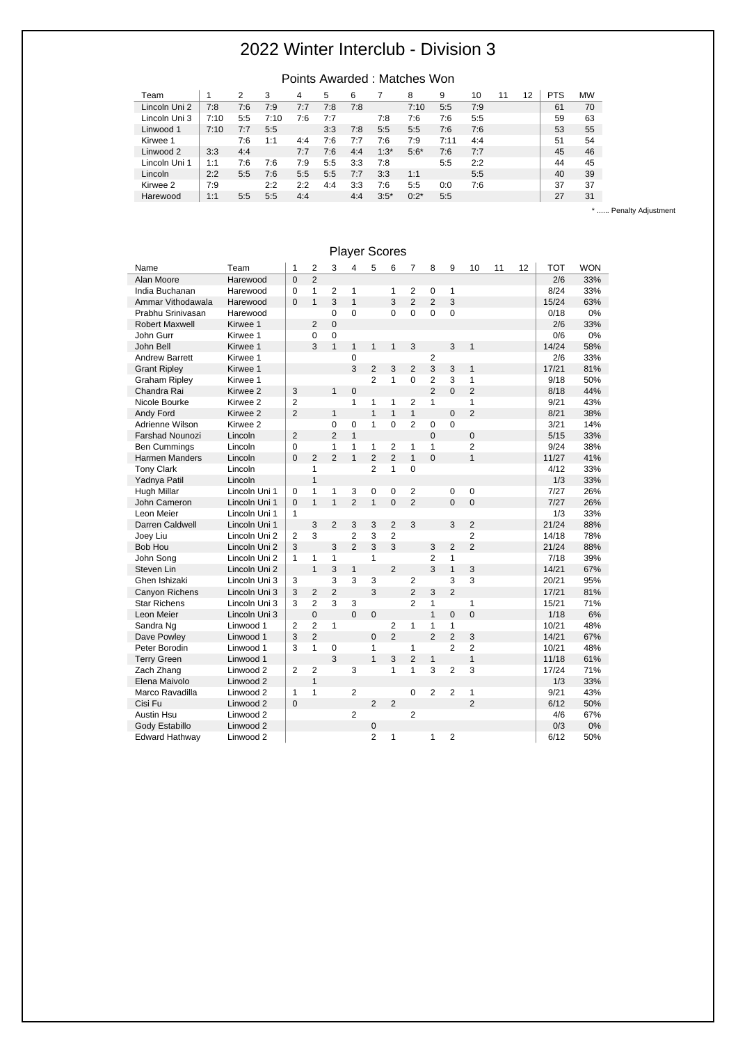#### Points Awarded : Matches Won

| Team          |      | 2   | 3    | 4   | 5   | 6   |        | 8       | 9    | 10  | 12 | <b>PTS</b> | <b>MW</b> |
|---------------|------|-----|------|-----|-----|-----|--------|---------|------|-----|----|------------|-----------|
| Lincoln Uni 2 | 7:8  | 7:6 | 7:9  | 7:7 | 7:8 | 7:8 |        | 7:10    | 5:5  | 7:9 |    | 61         | 70        |
| Lincoln Uni 3 | 7:10 | 5:5 | 7:10 | 7:6 | 7:7 |     | 7:8    | 7:6     | 7:6  | 5:5 |    | 59         | 63        |
| Linwood 1     | 7:10 | 7:7 | 5:5  |     | 3:3 | 7:8 | 5:5    | 5:5     | 7:6  | 7:6 |    | 53         | 55        |
| Kirwee 1      |      | 7:6 | 1:1  | 4:4 | 7:6 | 7:7 | 7:6    | 7:9     | 7:11 | 4:4 |    | 51         | 54        |
| Linwood 2     | 3:3  | 4:4 |      | 7:7 | 7:6 | 4:4 | $1:3*$ | $5:6*$  | 7:6  | 7:7 |    | 45         | 46        |
| Lincoln Uni 1 | 1:1  | 7:6 | 7:6  | 7:9 | 5:5 | 3:3 | 7:8    |         | 5:5  | 2:2 |    | 44         | 45        |
| Lincoln       | 2:2  | 5:5 | 7:6  | 5:5 | 5:5 | 7:7 | 3:3    | 1:1     |      | 5:5 |    | 40         | 39        |
| Kirwee 2      | 7:9  |     | 2:2  | 2:2 | 4:4 | 3:3 | 7:6    | 5:5     | 0:0  | 7:6 |    | 37         | 37        |
| Harewood      | 1:1  | 5:5 | 5:5  | 4:4 |     | 4:4 | $3:5*$ | $0:2^*$ | 5:5  |     |    | 27         | 31        |

\* ...... Penalty Adjustment

| Name                   | Team                 | 1              | 2              | 3              | 4              | 5              | 6              | 7              | 8              | 9              | 10             | 11 | 12 | <b>TOT</b> | <b>WON</b> |
|------------------------|----------------------|----------------|----------------|----------------|----------------|----------------|----------------|----------------|----------------|----------------|----------------|----|----|------------|------------|
| Alan Moore             | Harewood             | $\mathbf 0$    | $\overline{2}$ |                |                |                |                |                |                |                |                |    |    | 2/6        | 33%        |
| India Buchanan         | Harewood             | 0              | $\mathbf{1}$   | $\overline{2}$ | $\mathbf{1}$   |                | 1              | 2              | 0              | 1              |                |    |    | 8/24       | 33%        |
| Ammar Vithodawala      | Harewood             | $\Omega$       | $\mathbf{1}$   | 3              | $\mathbf{1}$   |                | 3              | $\overline{2}$ | $\overline{2}$ | 3              |                |    |    | 15/24      | 63%        |
| Prabhu Srinivasan      | Harewood             |                |                | $\Omega$       | $\Omega$       |                | 0              | 0              | $\Omega$       | $\mathbf 0$    |                |    |    | 0/18       | 0%         |
| <b>Robert Maxwell</b>  | Kirwee 1             |                | $\overline{2}$ | $\overline{0}$ |                |                |                |                |                |                |                |    |    | 2/6        | 33%        |
| John Gurr              | Kirwee 1             |                | 0              | 0              |                |                |                |                |                |                |                |    |    | 0/6        | 0%         |
| John Bell              | Kirwee 1             |                | 3              | $\mathbf{1}$   | $\mathbf{1}$   | $\mathbf{1}$   | 1              | 3              |                | 3              | $\mathbf{1}$   |    |    | 14/24      | 58%        |
| <b>Andrew Barrett</b>  | Kirwee 1             |                |                |                | $\mathbf 0$    |                |                |                | $\overline{2}$ |                |                |    |    | 2/6        | 33%        |
| <b>Grant Ripley</b>    | Kirwee 1             |                |                |                | 3              | $\overline{2}$ | 3              | $\overline{2}$ | 3              | 3              | $\mathbf{1}$   |    |    | 17/21      | 81%        |
| <b>Graham Ripley</b>   | Kirwee 1             |                |                |                |                | $\overline{2}$ | $\mathbf{1}$   | 0              | $\overline{2}$ | 3              | 1              |    |    | 9/18       | 50%        |
| Chandra Rai            | Kirwee 2             | 3              |                | $\mathbf{1}$   | $\mathbf 0$    |                |                |                | $\overline{2}$ | $\Omega$       | $\overline{2}$ |    |    | 8/18       | 44%        |
| Nicole Bourke          | Kirwee 2             | $\overline{2}$ |                |                | 1              | 1              | 1              | $\overline{2}$ | 1              |                | $\mathbf{1}$   |    |    | 9/21       | 43%        |
| Andy Ford              | Kirwee 2             | $\overline{2}$ |                | $\mathbf{1}$   |                | $\mathbf{1}$   | $\mathbf{1}$   | $\mathbf{1}$   |                | $\Omega$       | $\overline{2}$ |    |    | 8/21       | 38%        |
| Adrienne Wilson        | Kirwee 2             |                |                | $\Omega$       | 0              | $\mathbf{1}$   | 0              | $\overline{2}$ | 0              | $\Omega$       |                |    |    | 3/21       | 14%        |
| <b>Farshad Nounozi</b> | Lincoln              | $\overline{2}$ |                | $\overline{2}$ | $\mathbf{1}$   |                |                |                | 0              |                | $\overline{0}$ |    |    | 5/15       | 33%        |
| <b>Ben Cummings</b>    | Lincoln              | $\mathbf 0$    |                | $\mathbf{1}$   | 1              | 1              | 2              | 1              | $\mathbf{1}$   |                | $\overline{2}$ |    |    | 9/24       | 38%        |
| Harmen Manders         | Lincoln              | $\overline{0}$ | $\overline{2}$ | $\overline{2}$ | $\mathbf{1}$   | $\overline{2}$ | $\overline{2}$ | $\mathbf{1}$   | $\overline{0}$ |                | $\mathbf{1}$   |    |    | 11/27      | 41%        |
| <b>Tony Clark</b>      | Lincoln              |                | $\mathbf{1}$   |                |                | $\overline{2}$ | 1              | 0              |                |                |                |    |    | 4/12       | 33%        |
| Yadnya Patil           | Lincoln              |                | $\mathbf{1}$   |                |                |                |                |                |                |                |                |    |    | 1/3        | 33%        |
| Hugh Millar            | Lincoln Uni 1        | 0              | $\mathbf{1}$   | 1              | 3              | $\mathbf 0$    | 0              | $\overline{2}$ |                | 0              | 0              |    |    | 7/27       | 26%        |
| John Cameron           | Lincoln Uni 1        | $\Omega$       | $\mathbf{1}$   | $\mathbf{1}$   | $\overline{2}$ | $\mathbf{1}$   | $\overline{0}$ | $\overline{2}$ |                | $\overline{0}$ | $\overline{0}$ |    |    | 7/27       | 26%        |
| Leon Meier             | Lincoln Uni 1        | $\mathbf{1}$   |                |                |                |                |                |                |                |                |                |    |    | 1/3        | 33%        |
| Darren Caldwell        | Lincoln Uni 1        |                | 3              | $\overline{2}$ | 3              | 3              | $\overline{2}$ | 3              |                | 3              | $\overline{2}$ |    |    | 21/24      | 88%        |
| Joey Liu               | Lincoln Uni 2        | $\overline{2}$ | 3              |                | $\overline{2}$ | 3              | $\overline{2}$ |                |                |                | $\overline{2}$ |    |    | 14/18      | 78%        |
| <b>Bob Hou</b>         | Lincoln Uni 2        | 3              |                | 3              | $\overline{2}$ | 3              | 3              |                | 3              | $\overline{2}$ | $\overline{2}$ |    |    | 21/24      | 88%        |
| John Song              | Lincoln Uni 2        | $\mathbf{1}$   | 1              | 1              |                | $\mathbf{1}$   |                |                | 2              | 1              |                |    |    | 7/18       | 39%        |
| Steven Lin             | Lincoln Uni 2        |                | $\mathbf{1}$   | 3              | $\mathbf{1}$   |                | $\overline{2}$ |                | 3              | $\mathbf{1}$   | 3              |    |    | 14/21      | 67%        |
| Ghen Ishizaki          | Lincoln Uni 3        | 3              |                | 3              | 3              | 3              |                | $\overline{2}$ |                | 3              | 3              |    |    | 20/21      | 95%        |
| Canyon Richens         | Lincoln Uni 3        | 3              | $\overline{2}$ | $\overline{2}$ |                | 3              |                | $\overline{2}$ | 3              | $\overline{2}$ |                |    |    | 17/21      | 81%        |
| <b>Star Richens</b>    | Lincoln Uni 3        | 3              | $\overline{2}$ | 3              | 3              |                |                | $\overline{2}$ | 1              |                | $\mathbf{1}$   |    |    | 15/21      | 71%        |
| Leon Meier             | Lincoln Uni 3        |                | $\mathbf 0$    |                | $\Omega$       | $\mathbf 0$    |                |                | $\mathbf{1}$   | $\mathbf 0$    | $\overline{0}$ |    |    | 1/18       | 6%         |
| Sandra Ng              | Linwood 1            | 2              | $\overline{2}$ | $\mathbf{1}$   |                |                | 2              | 1              | 1              | $\mathbf{1}$   |                |    |    | 10/21      | 48%        |
| Dave Powley            | Linwood 1            | 3              | $\overline{2}$ |                |                | $\Omega$       | $\overline{2}$ |                | $\mathfrak{p}$ | $\overline{2}$ | 3              |    |    | 14/21      | 67%        |
| Peter Borodin          | Linwood 1            | 3              | $\mathbf{1}$   | $\mathbf 0$    |                | $\mathbf{1}$   |                | 1              |                | $\overline{2}$ | $\overline{2}$ |    |    | 10/21      | 48%        |
| <b>Terry Green</b>     | Linwood 1            |                |                | 3              |                | $\mathbf{1}$   | 3              | $\overline{2}$ | $\mathbf{1}$   |                | $\mathbf{1}$   |    |    | 11/18      | 61%        |
| Zach Zhang             | Linwood 2            | 2              | $\overline{2}$ |                | 3              |                | 1              | 1              | 3              | $\overline{2}$ | 3              |    |    | 17/24      | 71%        |
| Elena Maivolo          | Linwood 2            |                | $\mathbf{1}$   |                |                |                |                |                |                |                |                |    |    | 1/3        | 33%        |
| Marco Ravadilla        | Linwood 2            | $\mathbf{1}$   | $\mathbf{1}$   |                | $\overline{2}$ |                |                | $\mathbf 0$    | $\overline{2}$ | $\overline{2}$ | $\mathbf{1}$   |    |    | 9/21       | 43%        |
| Cisi Fu                | Linwood 2            | $\Omega$       |                |                |                | $\overline{2}$ | $\overline{2}$ |                |                |                | $\overline{2}$ |    |    | 6/12       | 50%        |
| <b>Austin Hsu</b>      | Linwood 2            |                |                |                | $\overline{2}$ |                |                | $\overline{2}$ |                |                |                |    |    | 4/6        | 67%        |
| Gody Estabillo         | Linwood <sub>2</sub> |                |                |                |                | 0              |                |                |                |                |                |    |    | 0/3        | 0%         |
| Edward Hathway         | Linwood 2            |                |                |                |                | $\overline{2}$ | 1              |                | 1              | $\overline{2}$ |                |    |    | 6/12       | 50%        |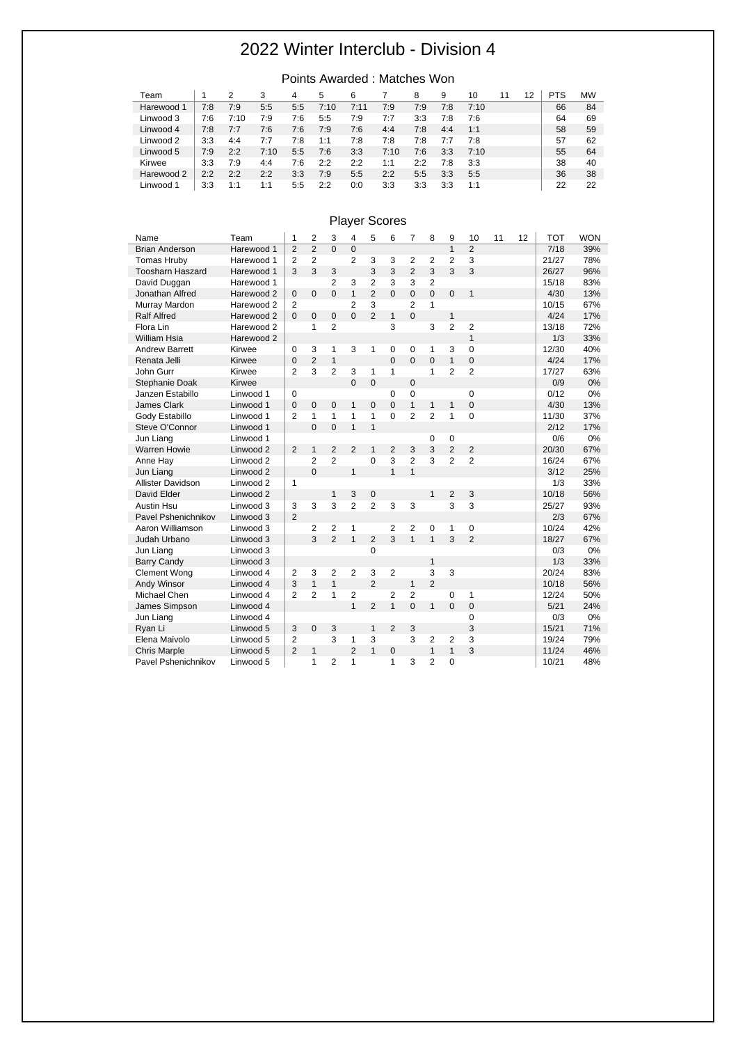| Team       |     | 2    | 3    | 4   | 5    | 6    |      | 8   | 9   | 10   | 11 | 12 | PTS | <b>MW</b> |
|------------|-----|------|------|-----|------|------|------|-----|-----|------|----|----|-----|-----------|
| Harewood 1 | 7:8 | 7:9  | 5:5  | 5:5 | 7:10 | 7:11 | 7:9  | 7:9 | 7:8 | 7:10 |    |    | 66  | 84        |
| Linwood 3  | 7:6 | 7:10 | 7:9  | 7:6 | 5:5  | 7:9  | 7:7  | 3:3 | 7:8 | 7:6  |    |    | 64  | 69        |
| Linwood 4  | 7:8 | 7:7  | 7:6  | 7:6 | 7:9  | 7:6  | 4:4  | 7:8 | 4:4 | 1:1  |    |    | 58  | 59        |
| Linwood 2  | 3:3 | 4:4  | 7:7  | 7:8 | 1:1  | 7:8  | 7:8  | 7:8 | 7:7 | 7:8  |    |    | 57  | 62        |
| Linwood 5  | 7:9 | 2:2  | 7:10 | 5:5 | 7:6  | 3:3  | 7:10 | 7:6 | 3:3 | 7:10 |    |    | 55  | 64        |
| Kirwee     | 3:3 | 7:9  | 4:4  | 7:6 | 2:2  | 2:2  | 1:1  | 2:2 | 7:8 | 3:3  |    |    | 38  | 40        |
| Harewood 2 | 2:2 | 2:2  | 2:2  | 3:3 | 7:9  | 5:5  | 2:2  | 5:5 | 3:3 | 5:5  |    |    | 36  | 38        |
| Linwood 1  | 3:3 | 1:1  | 1:1  | 5:5 | 2:2  | 0:0  | 3:3  | 3:3 | 3:3 | 1:1  |    |    | 22  | 22        |

#### Points Awarded : Matches Won

| Name                    | Team       | 1              | $\overline{2}$ | 3              | 4              | 5              | 6              | 7              | 8              | 9              | 10             | 11 | 12 | <b>TOT</b> | <b>WON</b> |
|-------------------------|------------|----------------|----------------|----------------|----------------|----------------|----------------|----------------|----------------|----------------|----------------|----|----|------------|------------|
| <b>Brian Anderson</b>   | Harewood 1 | $\overline{2}$ | $\overline{2}$ | $\Omega$       | $\mathbf{0}$   |                |                |                |                | $\overline{1}$ | $\overline{2}$ |    |    | 7/18       | 39%        |
| <b>Tomas Hruby</b>      | Harewood 1 | $\overline{2}$ | $\overline{2}$ |                | $\overline{2}$ | 3              | 3              | $\overline{2}$ | 2              | $\overline{2}$ | 3              |    |    | 21/27      | 78%        |
| <b>Toosharn Haszard</b> | Harewood 1 | 3              | 3              | 3              |                | 3              | 3              | $\overline{2}$ | 3              | 3              | 3              |    |    | 26/27      | 96%        |
| David Duggan            | Harewood 1 |                |                | $\overline{2}$ | 3              | $\overline{2}$ | 3              | 3              | $\overline{2}$ |                |                |    |    | 15/18      | 83%        |
| Jonathan Alfred         | Harewood 2 | $\Omega$       | $\Omega$       | $\Omega$       | $\mathbf{1}$   | $\overline{2}$ | $\Omega$       | $\Omega$       | $\Omega$       | $\mathbf{0}$   | $\overline{1}$ |    |    | 4/30       | 13%        |
| Murray Mardon           | Harewood 2 | 2              |                |                | $\overline{2}$ | 3              |                | $\overline{2}$ | 1              |                |                |    |    | 10/15      | 67%        |
| <b>Ralf Alfred</b>      | Harewood 2 | $\Omega$       | $\Omega$       | $\pmb{0}$      | $\Omega$       | $\mathfrak{p}$ | 1              | $\Omega$       |                | $\mathbf{1}$   |                |    |    | 4/24       | 17%        |
| Flora Lin               | Harewood 2 |                | $\mathbf{1}$   | $\overline{2}$ |                |                | 3              |                | 3              | $\overline{2}$ | $\overline{2}$ |    |    | 13/18      | 72%        |
| <b>William Hsia</b>     | Harewood 2 |                |                |                |                |                |                |                |                |                | $\mathbf{1}$   |    |    | 1/3        | 33%        |
| <b>Andrew Barrett</b>   | Kirwee     | $\mathbf 0$    | 3              | 1              | 3              | 1              | $\mathbf 0$    | $\mathbf 0$    | 1              | 3              | $\Omega$       |    |    | 12/30      | 40%        |
| Renata Jelli            | Kirwee     | 0              | $\overline{2}$ | $\mathbf{1}$   |                |                | $\Omega$       | $\overline{0}$ | $\overline{0}$ | $\mathbf{1}$   | $\mathbf 0$    |    |    | 4/24       | 17%        |
| John Gurr               | Kirwee     | $\overline{2}$ | 3              | $\overline{2}$ | 3              | 1              | 1              |                | 1              | $\overline{2}$ | $\overline{2}$ |    |    | 17/27      | 63%        |
| Stephanie Doak          | Kirwee     |                |                |                | $\Omega$       | $\mathbf{0}$   |                | $\pmb{0}$      |                |                |                |    |    | 0/9        | 0%         |
| Janzen Estabillo        | Linwood 1  | $\mathbf 0$    |                |                |                |                | 0              | 0              |                |                | $\mathbf 0$    |    |    | 0/12       | 0%         |
| James Clark             | Linwood 1  | 0              | $\mathbf 0$    | $\mathbf{0}$   | $\mathbf{1}$   | $\mathbf{0}$   | 0              | $\mathbf{1}$   | $\mathbf{1}$   | $\mathbf{1}$   | $\mathbf 0$    |    |    | 4/30       | 13%        |
| Gody Estabillo          | Linwood 1  | $\overline{2}$ | $\mathbf{1}$   | $\mathbf{1}$   | $\mathbf{1}$   | $\mathbf{1}$   | $\Omega$       | $\overline{2}$ | $\overline{2}$ | 1              | $\mathbf 0$    |    |    | 11/30      | 37%        |
| Steve O'Connor          | Linwood 1  |                | $\Omega$       | $\overline{0}$ | $\mathbf{1}$   | $\mathbf{1}$   |                |                |                |                |                |    |    | 2/12       | 17%        |
| Jun Liang               | Linwood 1  |                |                |                |                |                |                |                | $\mathbf 0$    | $\mathbf 0$    |                |    |    | 0/6        | 0%         |
| <b>Warren Howie</b>     | Linwood 2  | $\overline{2}$ | $\mathbf{1}$   | $\overline{2}$ | $\overline{2}$ | $\mathbf{1}$   | $\overline{2}$ | 3              | 3              | $\overline{2}$ | $\overline{2}$ |    |    | 20/30      | 67%        |
| Anne Hay                | Linwood 2  |                | $\overline{2}$ | $\overline{2}$ |                | $\Omega$       | 3              | $\overline{2}$ | 3              | $\overline{2}$ | $\overline{2}$ |    |    | 16/24      | 67%        |
| Jun Liang               | Linwood 2  |                | $\Omega$       |                | $\mathbf{1}$   |                | $\mathbf{1}$   | $\mathbf{1}$   |                |                |                |    |    | 3/12       | 25%        |
| Allister Davidson       | Linwood 2  | 1              |                |                |                |                |                |                |                |                |                |    |    | 1/3        | 33%        |
| David Elder             | Linwood 2  |                |                | 1              | 3              | 0              |                |                | 1              | $\overline{2}$ | 3              |    |    | 10/18      | 56%        |
| <b>Austin Hsu</b>       | Linwood 3  | 3              | 3              | 3              | $\overline{2}$ | $\overline{2}$ | 3              | 3              |                | 3              | 3              |    |    | 25/27      | 93%        |
| Pavel Pshenichnikov     | Linwood 3  | $\overline{2}$ |                |                |                |                |                |                |                |                |                |    |    | 2/3        | 67%        |
| Aaron Williamson        | Linwood 3  |                | $\overline{2}$ | $\overline{2}$ | 1              |                | 2              | $\overline{2}$ | $\mathbf 0$    | 1              | $\mathbf 0$    |    |    | 10/24      | 42%        |
| Judah Urbano            | Linwood 3  |                | 3              | $\overline{2}$ | $\mathbf{1}$   | $\overline{2}$ | 3              | $\mathbf{1}$   | $\mathbf{1}$   | 3              | $\overline{2}$ |    |    | 18/27      | 67%        |
| Jun Liang               | Linwood 3  |                |                |                |                | $\Omega$       |                |                |                |                |                |    |    | 0/3        | 0%         |
| <b>Barry Candy</b>      | Linwood 3  |                |                |                |                |                |                |                | $\mathbf{1}$   |                |                |    |    | 1/3        | 33%        |
| <b>Clement Wong</b>     | Linwood 4  | 2              | 3              | $\overline{2}$ | $\overline{2}$ | 3              | 2              |                | 3              | 3              |                |    |    | 20/24      | 83%        |
| Andy Winsor             | Linwood 4  | 3              | $\mathbf{1}$   | $\mathbf{1}$   |                | $\overline{2}$ |                | $\mathbf{1}$   | $\overline{2}$ |                |                |    |    | 10/18      | 56%        |
| Michael Chen            | Linwood 4  | $\overline{2}$ | $\overline{2}$ | 1              | $\overline{2}$ |                | 2              | $\overline{2}$ |                | $\mathbf 0$    | $\mathbf{1}$   |    |    | 12/24      | 50%        |
| James Simpson           | Linwood 4  |                |                |                | $\mathbf{1}$   | $\overline{2}$ | $\mathbf{1}$   | $\mathbf 0$    | $\mathbf{1}$   | $\Omega$       | $\mathbf 0$    |    |    | 5/21       | 24%        |
| Jun Liang               | Linwood 4  |                |                |                |                |                |                |                |                |                | $\Omega$       |    |    | 0/3        | 0%         |
| Ryan Li                 | Linwood 5  | 3              | $\mathbf 0$    | 3              |                | $\mathbf{1}$   | $\overline{2}$ | 3              |                |                | 3              |    |    | 15/21      | 71%        |
| Elena Maivolo           | Linwood 5  | $\overline{2}$ |                | 3              | 1              | 3              |                | 3              | 2              | $\overline{2}$ | 3              |    |    | 19/24      | 79%        |
| <b>Chris Marple</b>     | Linwood 5  | $\overline{2}$ | $\mathbf{1}$   |                | $\overline{2}$ | $\mathbf{1}$   | 0              |                | $\mathbf{1}$   | $\mathbf{1}$   | 3              |    |    | 11/24      | 46%        |
| Pavel Pshenichnikov     | Linwood 5  |                | 1              | 2              | 1              |                | 1              | 3              | $\overline{2}$ | $\mathbf 0$    |                |    |    | 10/21      | 48%        |